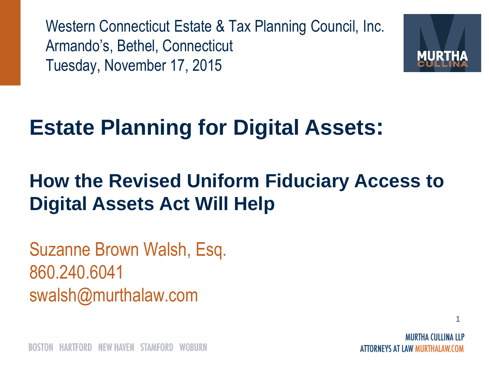Western Connecticut Estate & Tax Planning Council, Inc. Armando's, Bethel, Connecticut Tuesday, November 17, 2015



#### **Estate Planning for Digital Assets:**

#### **How the Revised Uniform Fiduciary Access to Digital Assets Act Will Help**

Suzanne Brown Walsh, Esq. 860.240.6041 swalsh@murthalaw.com

ATTORNEYS AT LAW MURTHALAW.COM

1

NEW HAVEN HARTFORD STAMFORD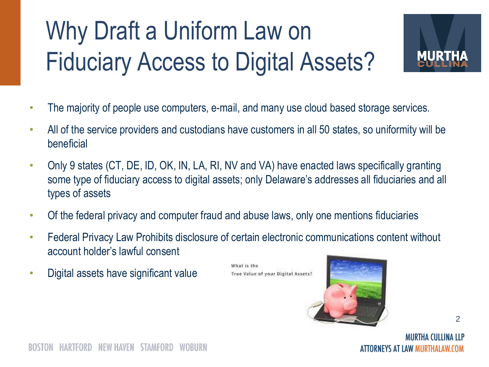#### Why Draft a Uniform Law on Fiduciary Access to Digital Assets?



- The majority of people use computers, e-mail, and many use cloud based storage services.
- All of the service providers and custodians have customers in all 50 states, so uniformity will be beneficial
- Only 9 states (CT, DE, ID, OK, IN, LA, RI, NV and VA) have enacted laws specifically granting some type of fiduciary access to digital assets; only Delaware's addresses all fiduciaries and all types of assets
- Of the federal privacy and computer fraud and abuse laws, only one mentions fiduciaries
- Federal Privacy Law Prohibits disclosure of certain electronic communications content without account holder's lawful consent

What is the

• Digital assets have significant value

True Value of your Digital Assets?



2

NEW HAVEN SIAMFORD

MIIRTHA (IIITINA ITP ATTORNEYS AT LAW MURTHALAW.COM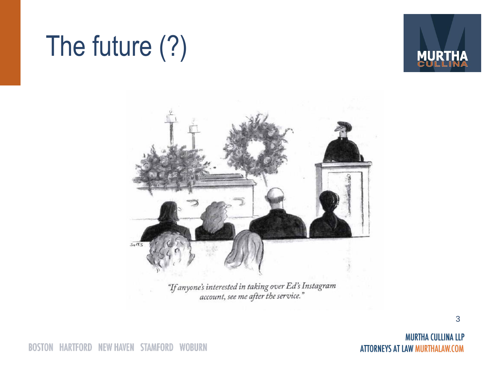## The future (?)





"If anyone's interested in taking over Ed's Instagram"<br>"account, see me after the service."

**BOSTON** HARTFORD NEW HAVEN STAMFORD WOBURN

**MURTHA CULLINA LLP ATTORNEYS AT LAW MURTHALAW.COM**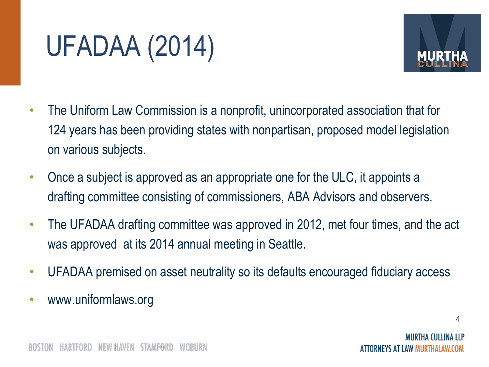## UFADAA (2014)



- The Uniform Law Commission is a nonprofit, unincorporated association that for 124 years has been providing states with nonpartisan, proposed model legislation on various subjects.
- Once a subject is approved as an appropriate one for the ULC, it appoints a drafting committee consisting of commissioners, ABA Advisors and observers.
- The UFADAA drafting committee was approved in 2012, met four times, and the act was approved at its 2014 annual meeting in Seattle.
- UFADAA premised on asset neutrality so its defaults encouraged fiduciary access
- www.uniformlaws.org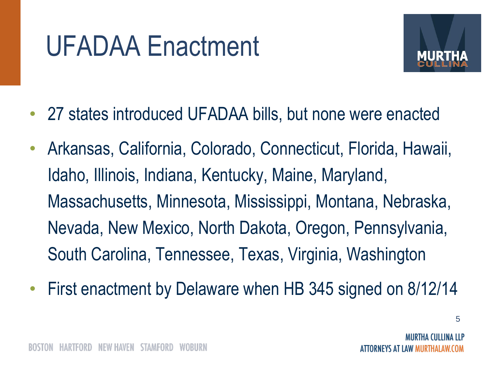## UFADAA Enactment



- 27 states introduced UFADAA bills, but none were enacted
- Arkansas, California, Colorado, Connecticut, Florida, Hawaii, Idaho, Illinois, Indiana, Kentucky, Maine, Maryland, Massachusetts, Minnesota, Mississippi, Montana, Nebraska, Nevada, New Mexico, North Dakota, Oregon, Pennsylvania, South Carolina, Tennessee, Texas, Virginia, Washington
- First enactment by Delaware when HB 345 signed on 8/12/14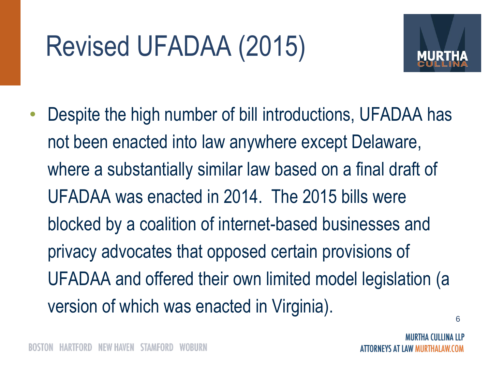## Revised UFADAA (2015)



6 • Despite the high number of bill introductions, UFADAA has not been enacted into law anywhere except Delaware, where a substantially similar law based on a final draft of UFADAA was enacted in 2014. The 2015 bills were blocked by a coalition of internet-based businesses and privacy advocates that opposed certain provisions of UFADAA and offered their own limited model legislation (a version of which was enacted in Virginia).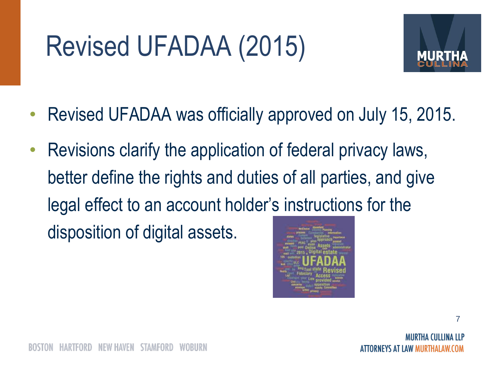## Revised UFADAA (2015)



- Revised UFADAA was officially approved on July 15, 2015.
- Revisions clarify the application of federal privacy laws, better define the rights and duties of all parties, and give legal effect to an account holder's instructions for the disposition of digital assets.



7

SIAMFORD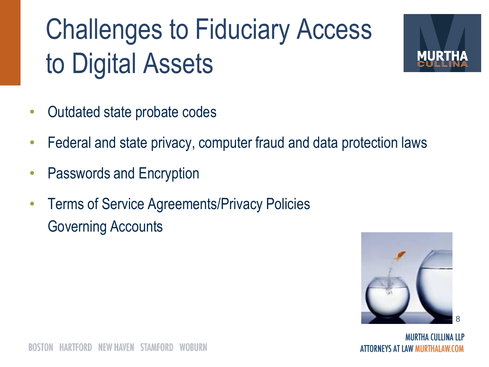## Challenges to Fiduciary Access to Digital Assets



- Outdated state probate codes
- Federal and state privacy, computer fraud and data protection laws
- Passwords and Encryption
- Terms of Service Agreements/Privacy Policies Governing Accounts



MIIRTHA (IIITINA ITP ATTORNEYS AT LAW MURTHALAW.COM

NEW HAVEN STAMFORD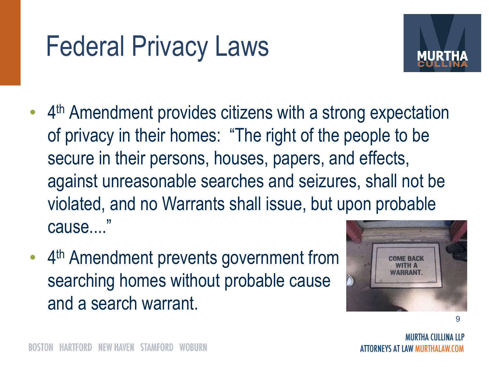## Federal Privacy Laws



- 4<sup>th</sup> Amendment provides citizens with a strong expectation of privacy in their homes: "The right of the people to be secure in their persons, houses, papers, and effects, against unreasonable searches and seizures, shall not be violated, and no Warrants shall issue, but upon probable cause...."
- 4<sup>th</sup> Amendment prevents government from searching homes without probable cause and a search warrant.

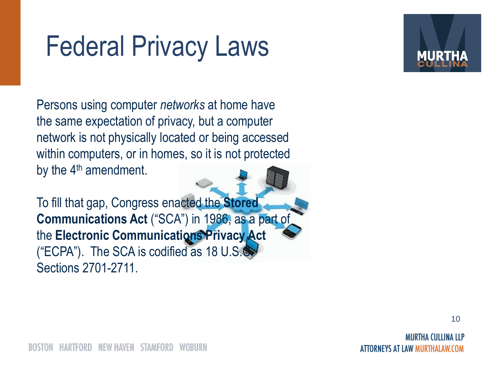## Federal Privacy Laws

Persons using computer *networks* at home have the same expectation of privacy, but a computer network is not physically located or being accessed within computers, or in homes, so it is not protected by the  $4<sup>th</sup>$  amendment.

To fill that gap, Congress enacted the **Stored Communications Act** ("SCA") in 1986, as a part of the **Electronic Communications Privacy Act**  ("ECPA"). The SCA is codified as 18 U.S.C. Sections 2701-2711.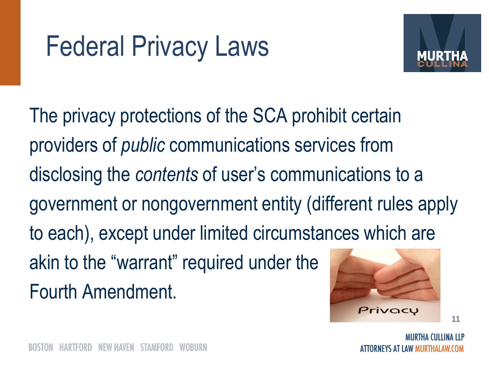

The privacy protections of the SCA prohibit certain providers of *public* communications services from disclosing the *contents* of user's communications to a government or nongovernment entity (different rules apply to each), except under limited circumstances which are akin to the "warrant" required under the Fourth Amendment.

Privacu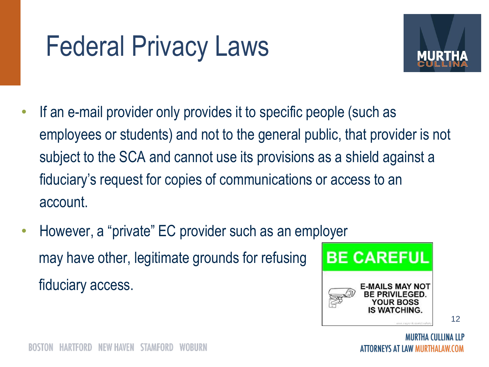## Federal Privacy Laws



- If an e-mail provider only provides it to specific people (such as employees or students) and not to the general public, that provider is not subject to the SCA and cannot use its provisions as a shield against a fiduciary's request for copies of communications or access to an account.
- However, a "private" EC provider such as an employer may have other, legitimate grounds for refusing fiduciary access.

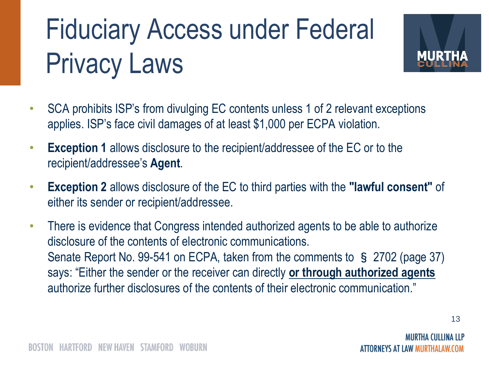## Fiduciary Access under Federal Privacy Laws



- SCA prohibits ISP's from divulging EC contents unless 1 of 2 relevant exceptions applies. ISP's face civil damages of at least \$1,000 per ECPA violation.
- **Exception 1** allows disclosure to the recipient/addressee of the EC or to the recipient/addressee's **Agent**.
- **Exception 2** allows disclosure of the EC to third parties with the **"lawful consent"** of either its sender or recipient/addressee.
- There is evidence that Congress intended authorized agents to be able to authorize disclosure of the contents of electronic communications. Senate Report No. 99-541 on ECPA, taken from the comments to § 2702 (page 37) says: "Either the sender or the receiver can directly **or through authorized agents** authorize further disclosures of the contents of their electronic communication."

ORNEYS AT LAW MURTHALAW.COM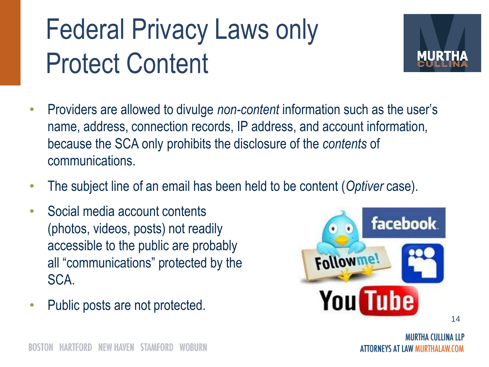## Federal Privacy Laws only Protect Content



- Providers are allowed to divulge *non-content* information such as the user's name, address, connection records, IP address, and account information, because the SCA only prohibits the disclosure of the *contents* of communications.
- The subject line of an email has been held to be content (*Optiver* case).
- Social media account contents (photos, videos, posts) not readily accessible to the public are probably all "communications" protected by the SCA.
- Public posts are not protected.

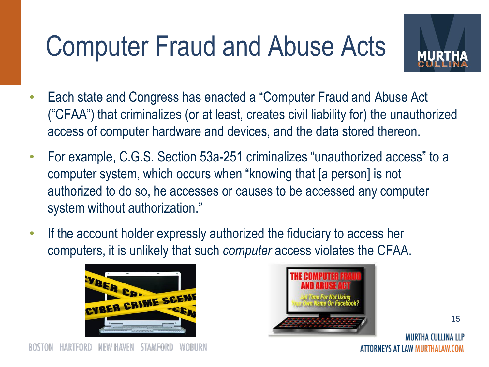## Computer Fraud and Abuse Acts



- Each state and Congress has enacted a "Computer Fraud and Abuse Act ("CFAA") that criminalizes (or at least, creates civil liability for) the unauthorized access of computer hardware and devices, and the data stored thereon.
- For example, C.G.S. Section 53a-251 criminalizes "unauthorized access" to a computer system, which occurs when "knowing that [a person] is not authorized to do so, he accesses or causes to be accessed any computer system without authorization."
- If the account holder expressly authorized the fiduciary to access her computers, it is unlikely that such *computer* access violates the CFAA.





15

MIIRTHA (IIIIINA IIP ATTORNEYS AT LAW MURTHALAW.COM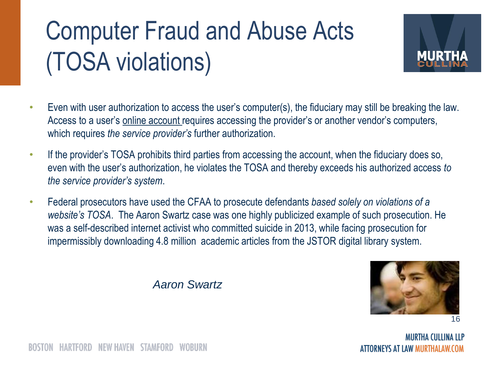#### Computer Fraud and Abuse Acts (TOSA violations)



- Even with user authorization to access the user's computer(s), the fiduciary may still be breaking the law. Access to a user's online account requires accessing the provider's or another vendor's computers, which requires *the service provider's* further authorization.
- If the provider's TOSA prohibits third parties from accessing the account, when the fiduciary does so, even with the user's authorization, he violates the TOSA and thereby exceeds his authorized access *to the service provider's system*.
- Federal prosecutors have used the CFAA to prosecute defendants *based solely on violations of a website's TOSA*. The Aaron Swartz case was one highly publicized example of such prosecution. He was a self-described internet activist who committed suicide in 2013, while facing prosecution for impermissibly downloading 4.8 million academic articles from the JSTOR digital library system.



16

**MURTHA CULLINA LLP** ATTORNEYS AT LAW MURTHALAW.COM

*Aaron Swartz*

NEW HAVEN STAMFORD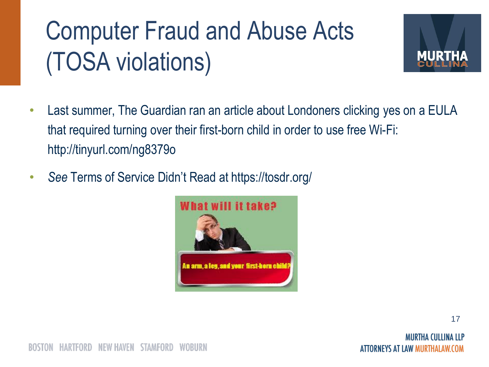#### Computer Fraud and Abuse Acts (TOSA violations)



- Last summer, The Guardian ran an article about Londoners clicking yes on a EULA that required turning over their first-born child in order to use free Wi-Fi: http://tinyurl.com/ng8379o
- *See* Terms of Service Didn't Read at https://tosdr.org/

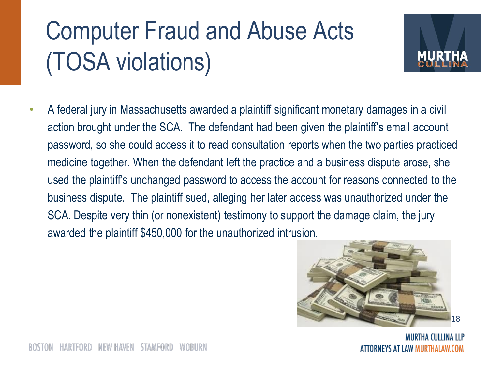#### Computer Fraud and Abuse Acts (TOSA violations)



• A federal jury in Massachusetts awarded a plaintiff significant monetary damages in a civil action brought under the SCA. The defendant had been given the plaintiff's email account password, so she could access it to read consultation reports when the two parties practiced medicine together. When the defendant left the practice and a business dispute arose, she used the plaintiff's unchanged password to access the account for reasons connected to the business dispute. The plaintiff sued, alleging her later access was unauthorized under the SCA. Despite very thin (or nonexistent) testimony to support the damage claim, the jury awarded the plaintiff \$450,000 for the unauthorized intrusion.



MURTHA CULLINA LLP ORNEYS AT LAW MURTHALAW.COM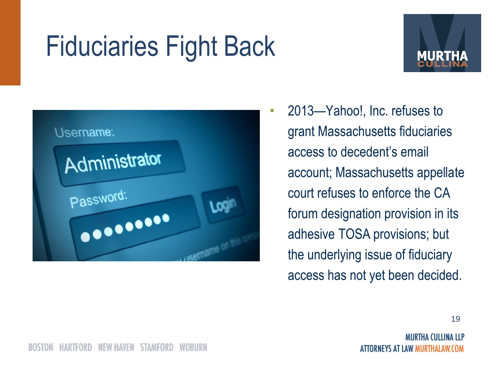## Fiduciaries Fight Back





• 2013—Yahoo!, Inc. refuses to grant Massachusetts fiduciaries access to decedent's email account; Massachusetts appellate court refuses to enforce the CA forum designation provision in its adhesive TOSA provisions; but the underlying issue of fiduciary access has not yet been decided.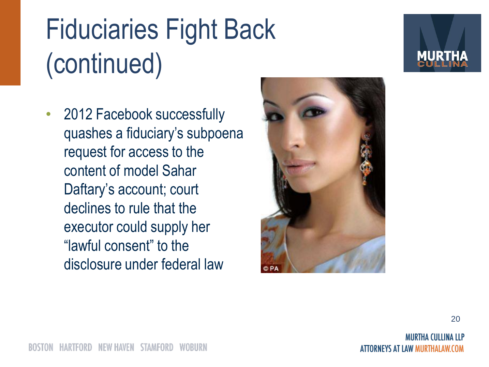# Fiduciaries Fight Back (continued)

• 2012 Facebook successfully quashes a fiduciary's subpoena request for access to the content of model Sahar Daftary's account; court declines to rule that the executor could supply her "lawful consent" to the disclosure under federal law

![](_page_19_Picture_2.jpeg)

![](_page_19_Picture_3.jpeg)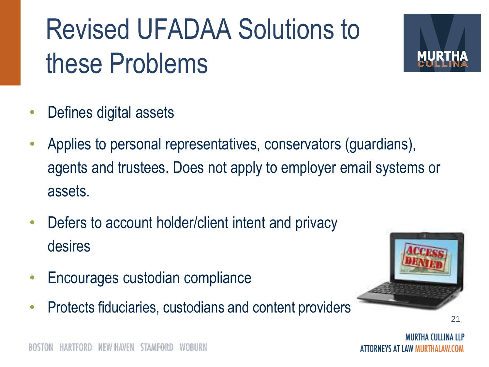## Revised UFADAA Solutions to these Problems

![](_page_20_Picture_1.jpeg)

- Defines digital assets
- Applies to personal representatives, conservators (guardians), agents and trustees. Does not apply to employer email systems or assets.
- Defers to account holder/client intent and privacy desires
- Encourages custodian compliance
- Protects fiduciaries, custodians and content providers

![](_page_20_Picture_7.jpeg)

ORNEYS AT LAW MURTHALAW.COM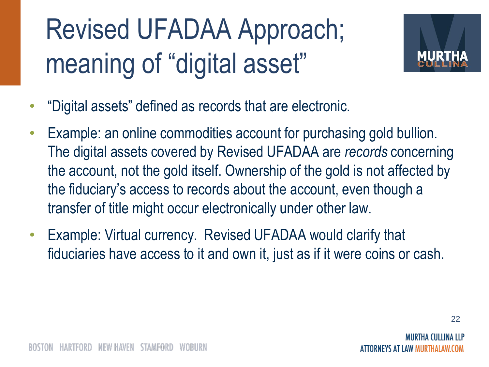## Revised UFADAA Approach; meaning of "digital asset"

![](_page_21_Picture_1.jpeg)

- "Digital assets" defined as records that are electronic.
- Example: an online commodities account for purchasing gold bullion. The digital assets covered by Revised UFADAA are *records* concerning the account, not the gold itself. Ownership of the gold is not affected by the fiduciary's access to records about the account, even though a transfer of title might occur electronically under other law.
- Example: Virtual currency. Revised UFADAA would clarify that fiduciaries have access to it and own it, just as if it were coins or cash.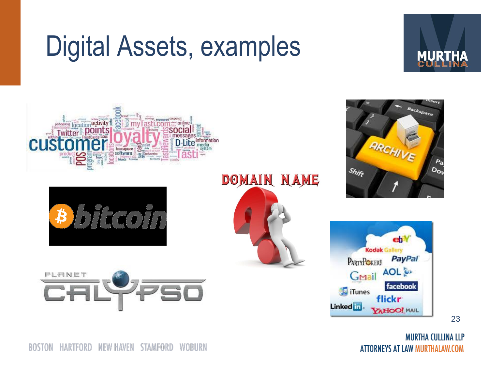#### Digital Assets, examples

![](_page_22_Picture_1.jpeg)

![](_page_22_Picture_2.jpeg)

![](_page_22_Picture_3.jpeg)

![](_page_22_Picture_4.jpeg)

![](_page_22_Picture_5.jpeg)

DOMAIN NAME

![](_page_22_Picture_7.jpeg)

![](_page_22_Figure_8.jpeg)

23

**MURTHA CULLINA LLP** ATTORNEYS AT LAW MURTHALAW.COM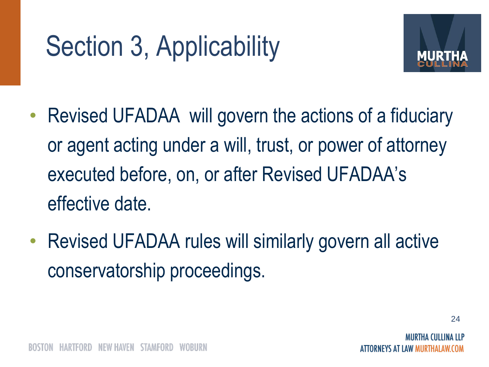## Section 3, Applicability

![](_page_23_Picture_1.jpeg)

- Revised UFADAA will govern the actions of a fiduciary or agent acting under a will, trust, or power of attorney executed before, on, or after Revised UFADAA's effective date.
- Revised UFADAA rules will similarly govern all active conservatorship proceedings.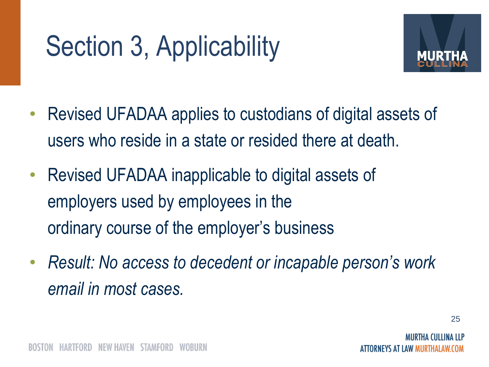## Section 3, Applicability

![](_page_24_Picture_1.jpeg)

- Revised UFADAA applies to custodians of digital assets of users who reside in a state or resided there at death.
- Revised UFADAA inapplicable to digital assets of employers used by employees in the ordinary course of the employer's business
- *Result: No access to decedent or incapable person's work email in most cases.*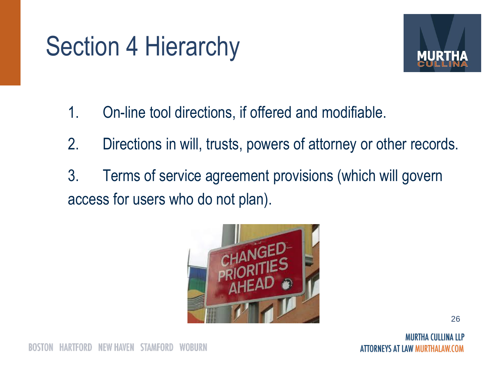#### Section 4 Hierarchy

![](_page_25_Picture_1.jpeg)

- 1. On-line tool directions, if offered and modifiable.
- 2. Directions in will, trusts, powers of attorney or other records.
- 3. Terms of service agreement provisions (which will govern access for users who do not plan).

![](_page_25_Picture_5.jpeg)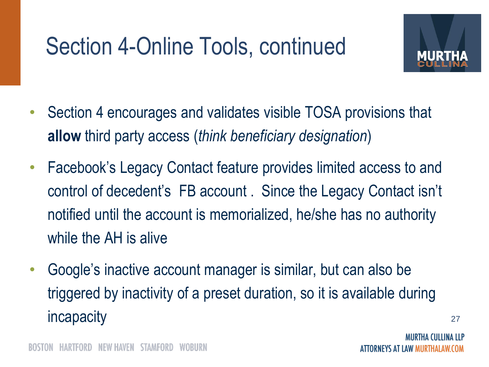#### Section 4-Online Tools, continued

![](_page_26_Picture_1.jpeg)

- Section 4 encourages and validates visible TOSA provisions that **allow** third party access (*think beneficiary designation*)
- Facebook's Legacy Contact feature provides limited access to and control of decedent's FB account . Since the Legacy Contact isn't notified until the account is memorialized, he/she has no authority while the AH is alive
- Google's inactive account manager is similar, but can also be triggered by inactivity of a preset duration, so it is available during incapacity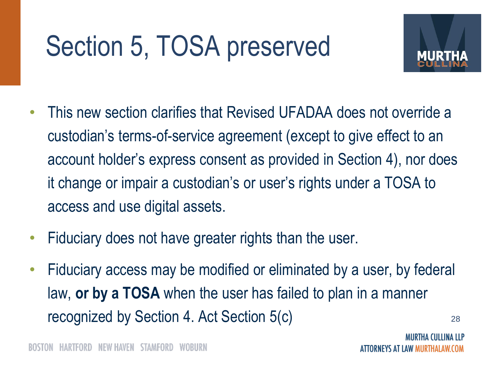## Section 5, TOSA preserved

![](_page_27_Picture_1.jpeg)

- This new section clarifies that Revised UFADAA does not override a custodian's terms-of-service agreement (except to give effect to an account holder's express consent as provided in Section 4), nor does it change or impair a custodian's or user's rights under a TOSA to access and use digital assets.
- Fiduciary does not have greater rights than the user.
- Fiduciary access may be modified or eliminated by a user, by federal law, **or by a TOSA** when the user has failed to plan in a manner recognized by Section 4. Act Section 5(c)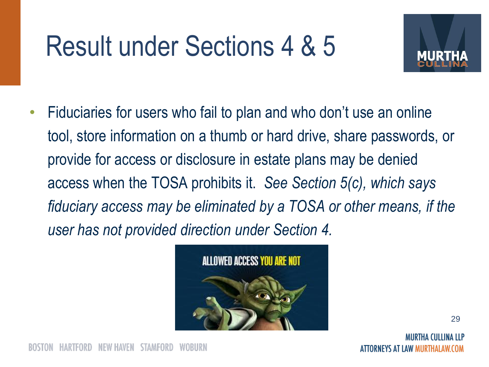## Result under Sections 4 & 5

![](_page_28_Picture_1.jpeg)

• Fiduciaries for users who fail to plan and who don't use an online tool, store information on a thumb or hard drive, share passwords, or provide for access or disclosure in estate plans may be denied access when the TOSA prohibits it. *See Section 5(c), which says fiduciary access may be eliminated by a TOSA or other means, if the user has not provided direction under Section 4.*

![](_page_28_Picture_3.jpeg)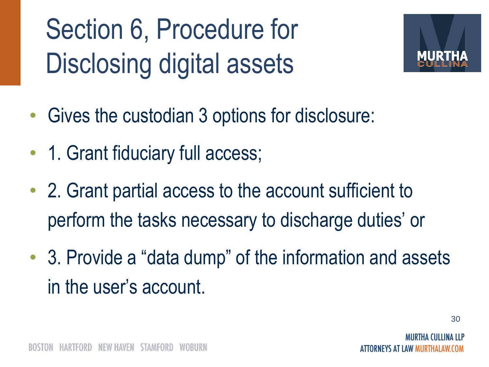Section 6, Procedure for Disclosing digital assets

![](_page_29_Picture_1.jpeg)

- Gives the custodian 3 options for disclosure:
- 1. Grant fiduciary full access;
- 2. Grant partial access to the account sufficient to perform the tasks necessary to discharge duties' or
- 3. Provide a "data dump" of the information and assets in the user's account.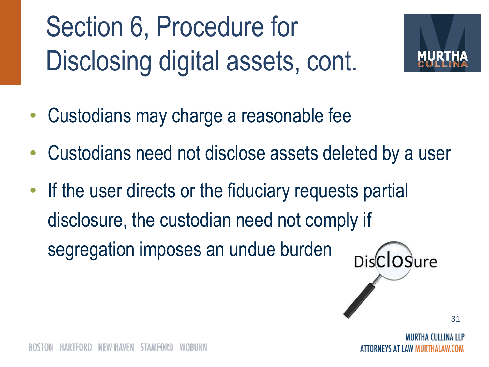Section 6, Procedure for Disclosing digital assets, cont.

![](_page_30_Picture_1.jpeg)

- Custodians may charge a reasonable fee
- Custodians need not disclose assets deleted by a user
- If the user directs or the fiduciary requests partial disclosure, the custodian need not comply if segregation imposes an undue burden

![](_page_30_Picture_5.jpeg)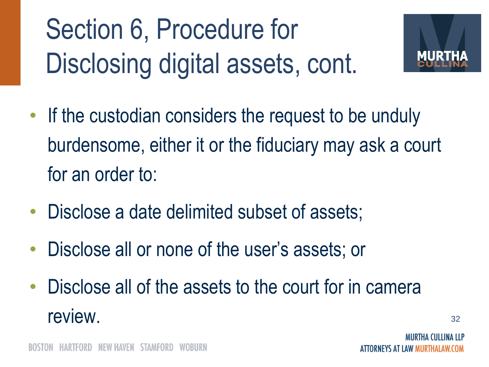## Section 6, Procedure for Disclosing digital assets, cont.

![](_page_31_Picture_1.jpeg)

- If the custodian considers the request to be unduly burdensome, either it or the fiduciary may ask a court for an order to:
- Disclose a date delimited subset of assets;
- Disclose all or none of the user's assets; or
- Disclose all of the assets to the court for in camera review.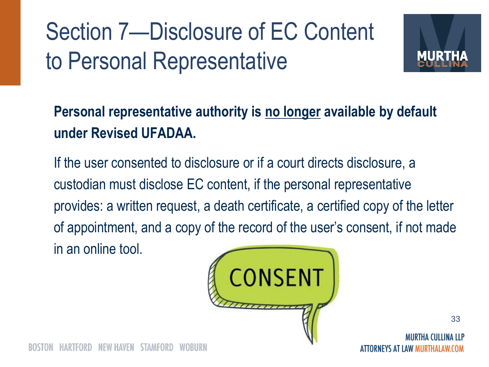#### Section 7—Disclosure of EC Content to Personal Representative

![](_page_32_Picture_1.jpeg)

#### **Personal representative authority is no longer available by default under Revised UFADAA.**

If the user consented to disclosure or if a court directs disclosure, a custodian must disclose EC content, if the personal representative provides: a written request, a death certificate, a certified copy of the letter of appointment, and a copy of the record of the user's consent, if not made in an online tool.

![](_page_32_Picture_4.jpeg)

ORNEYS AT LAW MURTHALAW.COM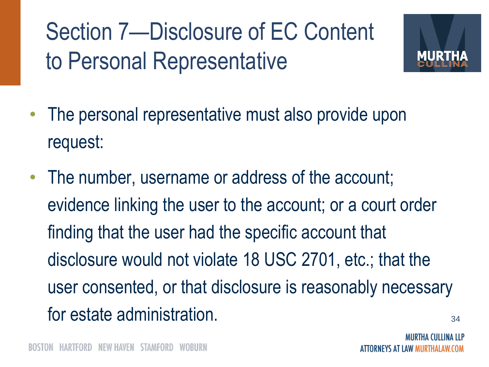Section 7—Disclosure of EC Content to Personal Representative

![](_page_33_Picture_1.jpeg)

- The personal representative must also provide upon request:
- The number, username or address of the account; evidence linking the user to the account; or a court order finding that the user had the specific account that disclosure would not violate 18 USC 2701, etc.; that the user consented, or that disclosure is reasonably necessary for estate administration.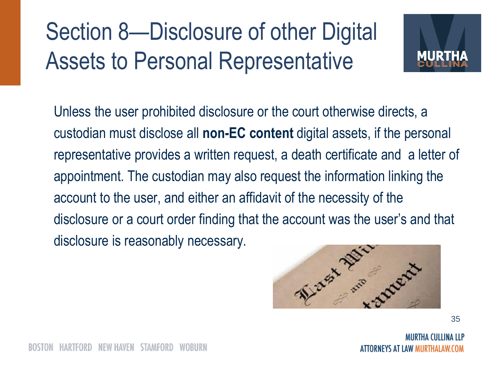#### Section 8—Disclosure of other Digital Assets to Personal Representative

![](_page_34_Picture_1.jpeg)

Unless the user prohibited disclosure or the court otherwise directs, a custodian must disclose all **non-EC content** digital assets, if the personal representative provides a written request, a death certificate and a letter of appointment. The custodian may also request the information linking the account to the user, and either an affidavit of the necessity of the disclosure or a court order finding that the account was the user's and that disclosure is reasonably necessary.

![](_page_34_Figure_3.jpeg)

35

MIIRTHA (IIITINA ITP ORNEYS AT LAW MURTHALAW.COM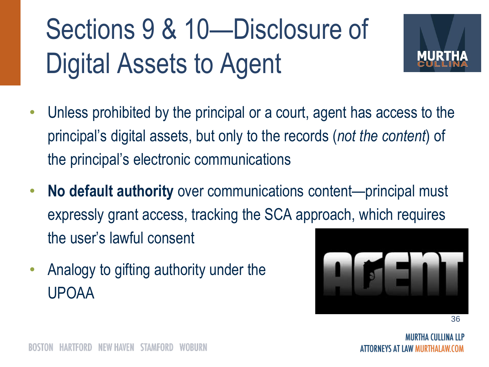## Sections 9 & 10—Disclosure of Digital Assets to Agent

![](_page_35_Picture_1.jpeg)

- Unless prohibited by the principal or a court, agent has access to the principal's digital assets, but only to the records (*not the content*) of the principal's electronic communications
- **No default authority** over communications content—principal must expressly grant access, tracking the SCA approach, which requires the user's lawful consent
- Analogy to gifting authority under the UPOAA

![](_page_35_Figure_5.jpeg)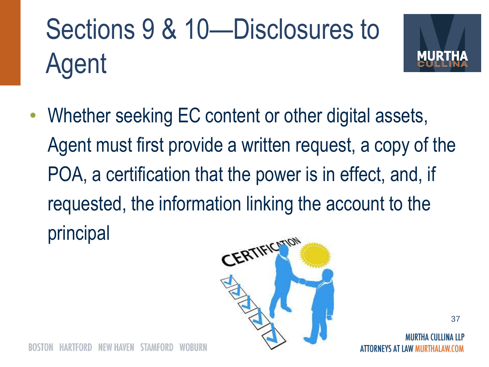# Sections 9 & 10—Disclosures to Agent

![](_page_36_Picture_1.jpeg)

• Whether seeking EC content or other digital assets, Agent must first provide a written request, a copy of the POA, a certification that the power is in effect, and, if requested, the information linking the account to the principal

![](_page_36_Picture_3.jpeg)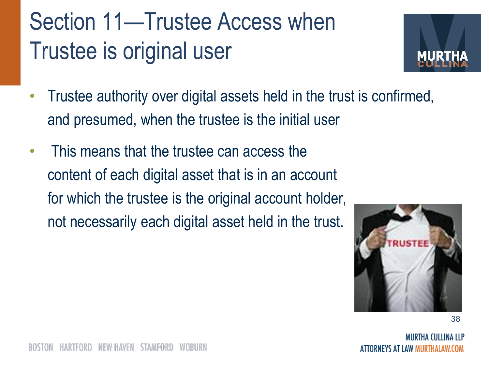#### Section 11—Trustee Access when Trustee is original user

![](_page_37_Picture_1.jpeg)

- Trustee authority over digital assets held in the trust is confirmed, and presumed, when the trustee is the initial user
- This means that the trustee can access the content of each digital asset that is in an account for which the trustee is the original account holder, not necessarily each digital asset held in the trust.

![](_page_37_Picture_4.jpeg)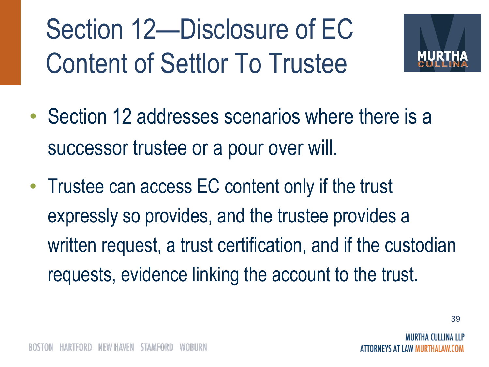Section 12—Disclosure of EC Content of Settlor To Trustee

![](_page_38_Picture_1.jpeg)

- Section 12 addresses scenarios where there is a successor trustee or a pour over will.
- Trustee can access EC content only if the trust expressly so provides, and the trustee provides a written request, a trust certification, and if the custodian requests, evidence linking the account to the trust.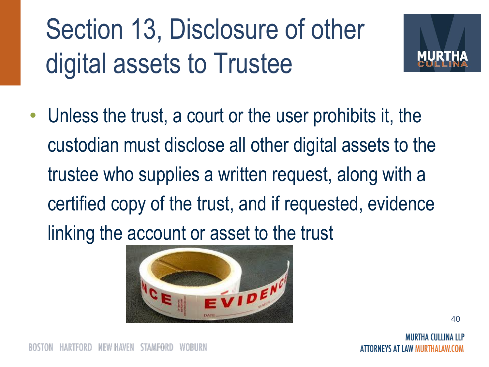## Section 13, Disclosure of other digital assets to Trustee

![](_page_39_Picture_1.jpeg)

• Unless the trust, a court or the user prohibits it, the custodian must disclose all other digital assets to the trustee who supplies a written request, along with a certified copy of the trust, and if requested, evidence linking the account or asset to the trust

![](_page_39_Picture_3.jpeg)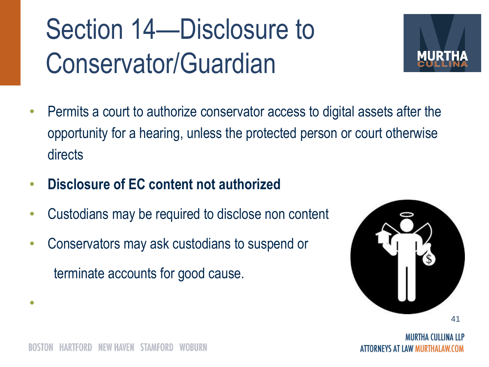## Section 14—Disclosure to Conservator/Guardian

![](_page_40_Picture_1.jpeg)

- Permits a court to authorize conservator access to digital assets after the opportunity for a hearing, unless the protected person or court otherwise directs
- **Disclosure of EC content not authorized**
- Custodians may be required to disclose non content
- Conservators may ask custodians to suspend or terminate accounts for good cause.

![](_page_40_Picture_6.jpeg)

•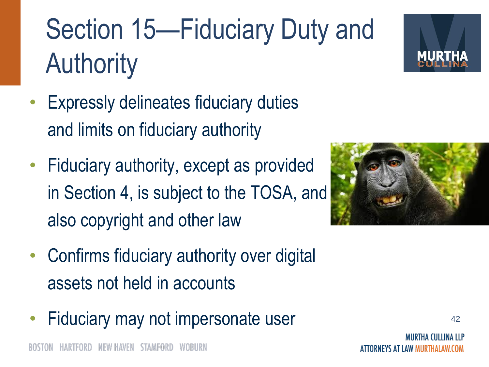## Section 15—Fiduciary Duty and **Authority**

- **Expressly delineates fiduciary duties** and limits on fiduciary authority
- Fiduciary authority, except as provided in Section 4, is subject to the TOSA, and also copyright and other law
- Confirms fiduciary authority over digital assets not held in accounts
- Fiduciary may not impersonate user

![](_page_41_Picture_7.jpeg)

![](_page_41_Picture_8.jpeg)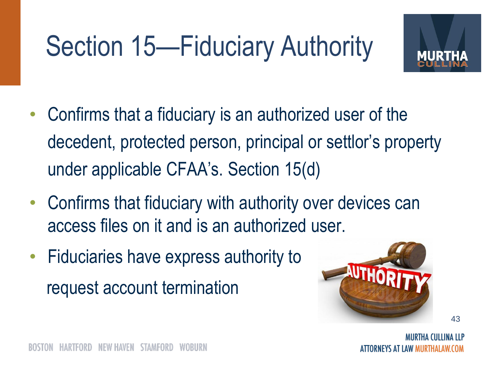# Section 15—Fiduciary Authority

![](_page_42_Picture_1.jpeg)

- Confirms that a fiduciary is an authorized user of the decedent, protected person, principal or settlor's property under applicable CFAA's. Section 15(d)
- Confirms that fiduciary with authority over devices can access files on it and is an authorized user.
- Fiduciaries have express authority to request account termination

![](_page_42_Picture_5.jpeg)

MIIRTHA (IIIIINA IIP IRNEYS AT LAW MURTHALAW.COM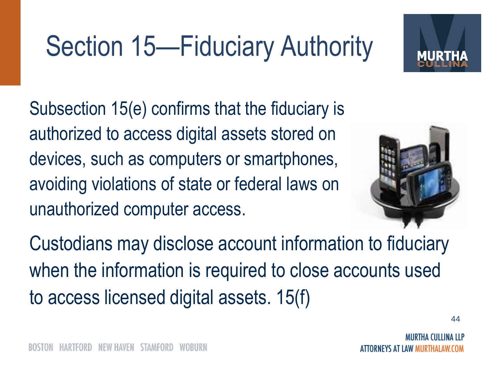## Section 15—Fiduciary Authority

Subsection 15(e) confirms that the fiduciary is authorized to access digital assets stored on devices, such as computers or smartphones, avoiding violations of state or federal laws on unauthorized computer access.

![](_page_43_Picture_2.jpeg)

Custodians may disclose account information to fiduciary when the information is required to close accounts used to access licensed digital assets. 15(f)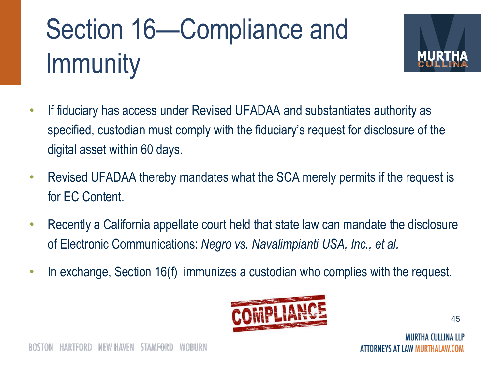# Section 16—Compliance and **Immunity**

![](_page_44_Picture_1.jpeg)

- If fiduciary has access under Revised UFADAA and substantiates authority as specified, custodian must comply with the fiduciary's request for disclosure of the digital asset within 60 days.
- Revised UFADAA thereby mandates what the SCA merely permits if the request is for EC Content.
- Recently a California appellate court held that state law can mandate the disclosure of Electronic Communications: *Negro vs. Navalimpianti USA, Inc., et al.*
- In exchange, Section 16(f) immunizes a custodian who complies with the request.

![](_page_44_Picture_6.jpeg)

MIIRTHA (IIIIINA IIP ORNEYS AT LAW MURTHALAW.COM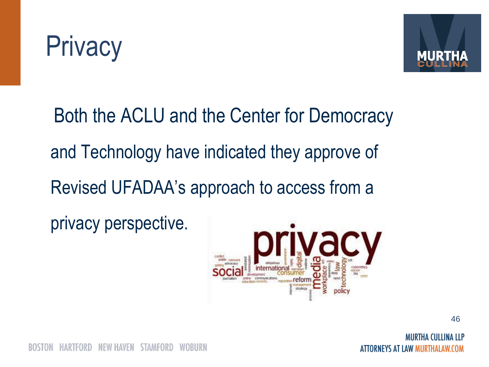![](_page_45_Picture_0.jpeg)

![](_page_45_Picture_1.jpeg)

Both the ACLU and the Center for Democracy and Technology have indicated they approve of Revised UFADAA's approach to access from a

privacy perspective.

![](_page_45_Picture_4.jpeg)

46

MIIRTHA (IIITINA ITP ATTORNEYS AT LAW MURTHALAW.COM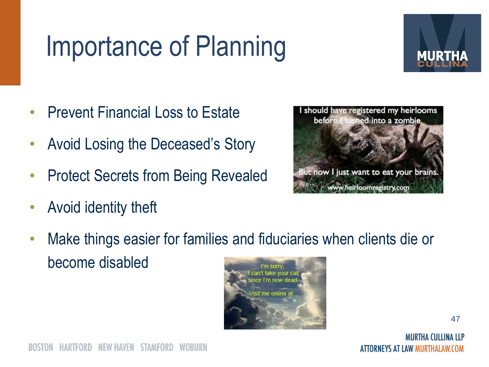## Importance of Planning

![](_page_46_Picture_1.jpeg)

- Prevent Financial Loss to Estate
- Avoid Losing the Deceased's Story
- Protect Secrets from Being Revealed
- Avoid identity theft

![](_page_46_Picture_6.jpeg)

• Make things easier for families and fiduciaries when clients die or become disabled I'm sorry

![](_page_46_Picture_8.jpeg)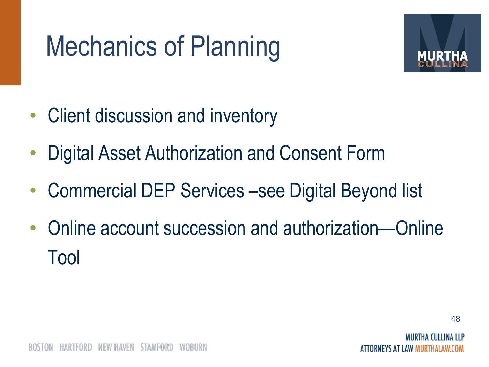## Mechanics of Planning

![](_page_47_Picture_1.jpeg)

- Client discussion and inventory
- Digital Asset Authorization and Consent Form
- Commercial DEP Services –see Digital Beyond list
- Online account succession and authorization—Online Tool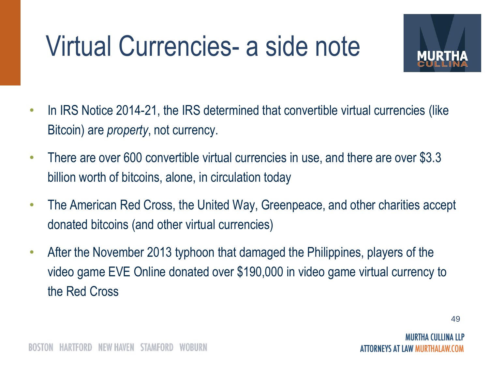## Virtual Currencies- a side note

![](_page_48_Picture_1.jpeg)

- In IRS Notice 2014-21, the IRS determined that convertible virtual currencies (like Bitcoin) are *property*, not currency.
- There are over 600 convertible virtual currencies in use, and there are over \$3.3 billion worth of bitcoins, alone, in circulation today
- The American Red Cross, the United Way, Greenpeace, and other charities accept donated bitcoins (and other virtual currencies)
- After the November 2013 typhoon that damaged the Philippines, players of the video game EVE Online donated over \$190,000 in video game virtual currency to the Red Cross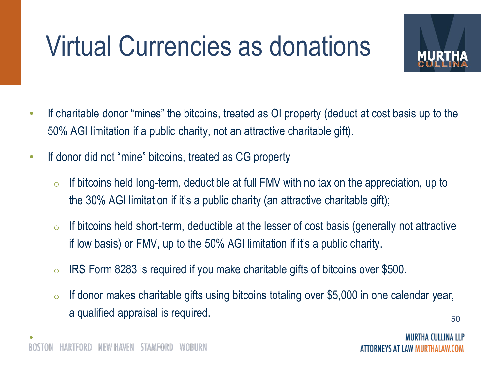## Virtual Currencies as donations

![](_page_49_Picture_1.jpeg)

- If charitable donor "mines" the bitcoins, treated as OI property (deduct at cost basis up to the 50% AGI limitation if a public charity, not an attractive charitable gift).
- If donor did not "mine" bitcoins, treated as CG property
	- $\circ$  If bitcoins held long-term, deductible at full FMV with no tax on the appreciation, up to the 30% AGI limitation if it's a public charity (an attractive charitable gift);
	- $\circ$  If bitcoins held short-term, deductible at the lesser of cost basis (generally not attractive if low basis) or FMV, up to the 50% AGI limitation if it's a public charity.
	- $\circ$  IRS Form 8283 is required if you make charitable gifts of bitcoins over \$500.
	- $\circ$  If donor makes charitable gifts using bitcoins totaling over \$5,000 in one calendar year, a qualified appraisal is required.